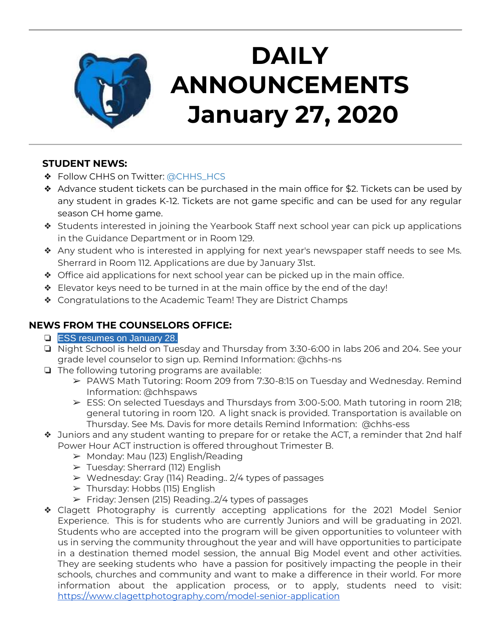

# **DAILY ANNOUNCEMENTS January 27, 2020**

## **STUDENT NEWS:**

- ◆ Follow CHHS on Twitter: [@CHHS\\_HCS](https://twitter.com/CHHS_HCS)
- $\triangleleft$  Advance student tickets can be purchased in the main office for \$2. Tickets can be used by any student in grades K-12. Tickets are not game specific and can be used for any regular season CH home game.
- ❖ Students interested in joining the Yearbook Staff next school year can pick up applications in the Guidance Department or in Room 129.
- ❖ Any student who is interested in applying for next year's newspaper staff needs to see Ms. Sherrard in Room 112. Applications are due by January 31st.
- ❖ Office aid applications for next school year can be picked up in the main office.
- ❖ Elevator keys need to be turned in at the main office by the end of the day!
- ❖ Congratulations to the Academic Team! They are District Champs

## **NEWS FROM THE COUNSELORS OFFICE:**

- ❏ ESS resumes on January 28.
- ❏ Night School is held on Tuesday and Thursday from 3:30-6:00 in labs 206 and 204. See your grade level counselor to sign up. Remind Information: @chhs-ns
- ❏ The following tutoring programs are available:
	- ➢ PAWS Math Tutoring: Room 209 from 7:30-8:15 on Tuesday and Wednesday. Remind Information: @chhspaws
	- $\triangleright$  ESS: On selected Tuesdays and Thursdays from 3:00-5:00. Math tutoring in room 218; general tutoring in room 120. A light snack is provided. Transportation is available on Thursday. See Ms. Davis for more details Remind Information: @chhs-ess
- ❖ Juniors and any student wanting to prepare for or retake the ACT, a reminder that 2nd half Power Hour ACT instruction is offered throughout Trimester B.
	- $\triangleright$  Monday: Mau (123) English/Reading
	- ➢ Tuesday: Sherrard (112) English
	- $\triangleright$  Wednesday: Gray (114) Reading.. 2/4 types of passages
	- ➢ Thursday: Hobbs (115) English
	- $\triangleright$  Friday: Jensen (215) Reading. 2/4 types of passages
- ❖ Clagett Photography is currently accepting applications for the 2021 Model Senior Experience. This is for students who are currently Juniors and will be graduating in 2021. Students who are accepted into the program will be given opportunities to volunteer with us in serving the community throughout the year and will have opportunities to participate in a destination themed model session, the annual Big Model event and other activities. They are seeking students who have a passion for positively impacting the people in their schools, churches and community and want to make a difference in their world. For more information about the application process, or to apply, students need to visit: <https://www.clagettphotography.com/model-senior-application>